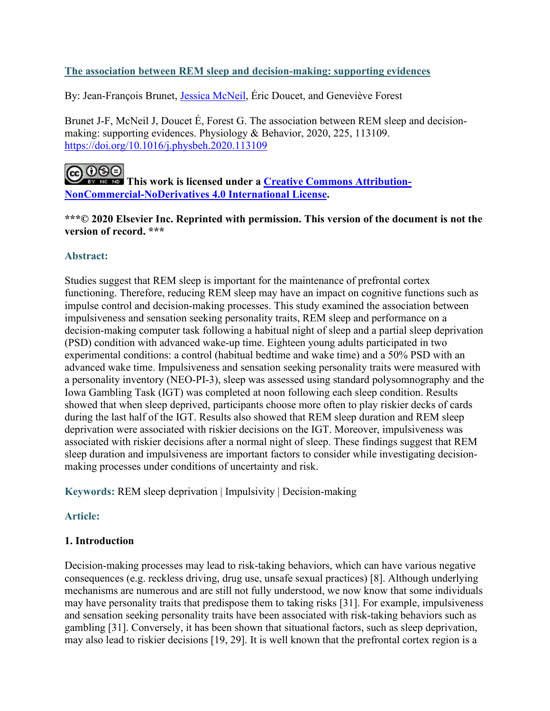## **The association between REM sleep and decision-making: supporting evidences**

By: Jean-François Brunet, Jessica [McNeil,](https://libres.uncg.edu/ir/uncg/clist.aspx?id=25525) Éric Doucet, and Geneviève Forest

Brunet J-F, McNeil J, Doucet É, Forest G. The association between REM sleep and decisionmaking: supporting evidences. Physiology & Behavior, 2020, 225, 113109. <https://doi.org/10.1016/j.physbeh.2020.113109>



**This work is licensed under a [Creative Commons Attribution-](http://creativecommons.org/licenses/by-nc-nd/4.0/)[NonCommercial-NoDerivatives 4.0 International License.](http://creativecommons.org/licenses/by-nc-nd/4.0/)** 

## **\*\*\*© 2020 Elsevier Inc. Reprinted with permission. This version of the document is not the version of record. \*\*\***

## **Abstract:**

Studies suggest that REM sleep is important for the maintenance of prefrontal cortex functioning. Therefore, reducing REM sleep may have an impact on cognitive functions such as impulse control and decision-making processes. This study examined the association between impulsiveness and sensation seeking personality traits, REM sleep and performance on a decision-making computer task following a habitual night of sleep and a partial sleep deprivation (PSD) condition with advanced wake-up time. Eighteen young adults participated in two experimental conditions: a control (habitual bedtime and wake time) and a 50% PSD with an advanced wake time. Impulsiveness and sensation seeking personality traits were measured with a personality inventory (NEO-PI-3), sleep was assessed using standard polysomnography and the Iowa Gambling Task (IGT) was completed at noon following each sleep condition. Results showed that when sleep deprived, participants choose more often to play riskier decks of cards during the last half of the IGT. Results also showed that REM sleep duration and REM sleep deprivation were associated with riskier decisions on the IGT. Moreover, impulsiveness was associated with riskier decisions after a normal night of sleep. These findings suggest that REM sleep duration and impulsiveness are important factors to consider while investigating decisionmaking processes under conditions of uncertainty and risk.

**Keywords:** REM sleep deprivation | Impulsivity | Decision-making

# **Article:**

# **1. Introduction**

Decision-making processes may lead to risk-taking behaviors, which can have various negative consequences (e.g. reckless driving, drug use, unsafe sexual practices) [8]. Although underlying mechanisms are numerous and are still not fully understood, we now know that some individuals may have personality traits that predispose them to taking risks [31]. For example, impulsiveness and sensation seeking personality traits have been associated with risk-taking behaviors such as gambling [31]. Conversely, it has been shown that situational factors, such as sleep deprivation, may also lead to riskier decisions [19, 29]. It is well known that the prefrontal cortex region is a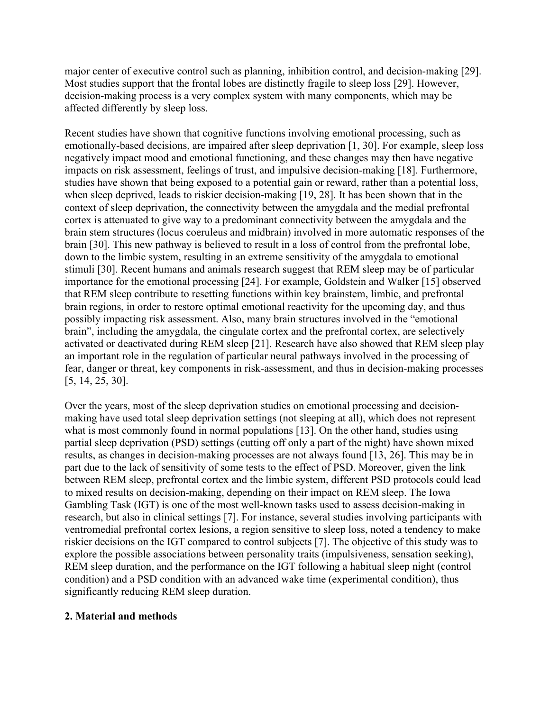major center of executive control such as planning, inhibition control, and decision-making [29]. Most studies support that the frontal lobes are distinctly fragile to sleep loss [29]. However, decision-making process is a very complex system with many components, which may be affected differently by sleep loss.

Recent studies have shown that cognitive functions involving emotional processing, such as emotionally-based decisions, are impaired after sleep deprivation [1, 30]. For example, sleep loss negatively impact mood and emotional functioning, and these changes may then have negative impacts on risk assessment, feelings of trust, and impulsive decision-making [18]. Furthermore, studies have shown that being exposed to a potential gain or reward, rather than a potential loss, when sleep deprived, leads to riskier decision-making [19, 28]. It has been shown that in the context of sleep deprivation, the connectivity between the amygdala and the medial prefrontal cortex is attenuated to give way to a predominant connectivity between the amygdala and the brain stem structures (locus coeruleus and midbrain) involved in more automatic responses of the brain [30]. This new pathway is believed to result in a loss of control from the prefrontal lobe, down to the limbic system, resulting in an extreme sensitivity of the amygdala to emotional stimuli [30]. Recent humans and animals research suggest that REM sleep may be of particular importance for the emotional processing [24]. For example, Goldstein and Walker [15] observed that REM sleep contribute to resetting functions within key brainstem, limbic, and prefrontal brain regions, in order to restore optimal emotional reactivity for the upcoming day, and thus possibly impacting risk assessment. Also, many brain structures involved in the "emotional brain", including the amygdala, the cingulate cortex and the prefrontal cortex, are selectively activated or deactivated during REM sleep [21]. Research have also showed that REM sleep play an important role in the regulation of particular neural pathways involved in the processing of fear, danger or threat, key components in risk-assessment, and thus in decision-making processes [5, 14, 25, 30].

Over the years, most of the sleep deprivation studies on emotional processing and decisionmaking have used total sleep deprivation settings (not sleeping at all), which does not represent what is most commonly found in normal populations [13]. On the other hand, studies using partial sleep deprivation (PSD) settings (cutting off only a part of the night) have shown mixed results, as changes in decision-making processes are not always found [13, 26]. This may be in part due to the lack of sensitivity of some tests to the effect of PSD. Moreover, given the link between REM sleep, prefrontal cortex and the limbic system, different PSD protocols could lead to mixed results on decision-making, depending on their impact on REM sleep. The Iowa Gambling Task (IGT) is one of the most well-known tasks used to assess decision-making in research, but also in clinical settings [7]. For instance, several studies involving participants with ventromedial prefrontal cortex lesions, a region sensitive to sleep loss, noted a tendency to make riskier decisions on the IGT compared to control subjects [7]. The objective of this study was to explore the possible associations between personality traits (impulsiveness, sensation seeking), REM sleep duration, and the performance on the IGT following a habitual sleep night (control condition) and a PSD condition with an advanced wake time (experimental condition), thus significantly reducing REM sleep duration.

#### **2. Material and methods**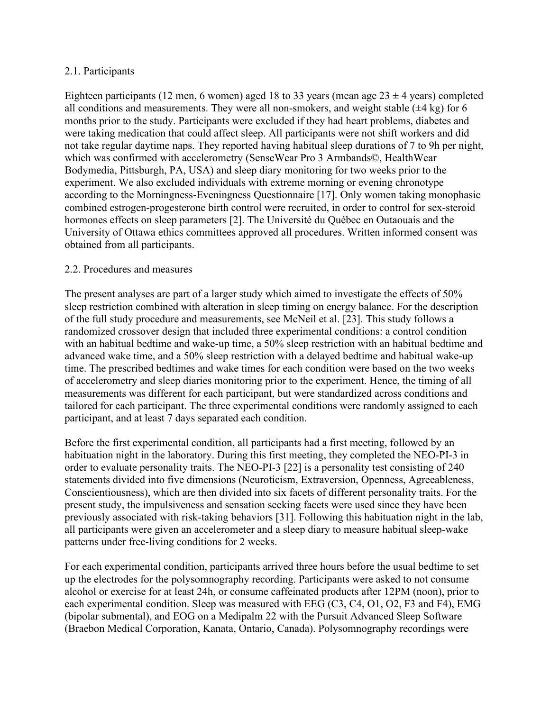#### 2.1. Participants

Eighteen participants (12 men, 6 women) aged 18 to 33 years (mean age  $23 \pm 4$  years) completed all conditions and measurements. They were all non-smokers, and weight stable  $(\pm 4 \text{ kg})$  for 6 months prior to the study. Participants were excluded if they had heart problems, diabetes and were taking medication that could affect sleep. All participants were not shift workers and did not take regular daytime naps. They reported having habitual sleep durations of 7 to 9h per night, which was confirmed with accelerometry (SenseWear Pro 3 Armbands©, HealthWear Bodymedia, Pittsburgh, PA, USA) and sleep diary monitoring for two weeks prior to the experiment. We also excluded individuals with extreme morning or evening chronotype according to the Morningness-Eveningness Questionnaire [17]. Only women taking monophasic combined estrogen-progesterone birth control were recruited, in order to control for sex-steroid hormones effects on sleep parameters [2]. The Université du Québec en Outaouais and the University of Ottawa ethics committees approved all procedures. Written informed consent was obtained from all participants.

### 2.2. Procedures and measures

The present analyses are part of a larger study which aimed to investigate the effects of 50% sleep restriction combined with alteration in sleep timing on energy balance. For the description of the full study procedure and measurements, see McNeil et al. [23]. This study follows a randomized crossover design that included three experimental conditions: a control condition with an habitual bedtime and wake-up time, a 50% sleep restriction with an habitual bedtime and advanced wake time, and a 50% sleep restriction with a delayed bedtime and habitual wake-up time. The prescribed bedtimes and wake times for each condition were based on the two weeks of accelerometry and sleep diaries monitoring prior to the experiment. Hence, the timing of all measurements was different for each participant, but were standardized across conditions and tailored for each participant. The three experimental conditions were randomly assigned to each participant, and at least 7 days separated each condition.

Before the first experimental condition, all participants had a first meeting, followed by an habituation night in the laboratory. During this first meeting, they completed the NEO-PI-3 in order to evaluate personality traits. The NEO-PI-3 [22] is a personality test consisting of 240 statements divided into five dimensions (Neuroticism, Extraversion, Openness, Agreeableness, Conscientiousness), which are then divided into six facets of different personality traits. For the present study, the impulsiveness and sensation seeking facets were used since they have been previously associated with risk-taking behaviors [31]. Following this habituation night in the lab, all participants were given an accelerometer and a sleep diary to measure habitual sleep-wake patterns under free-living conditions for 2 weeks.

For each experimental condition, participants arrived three hours before the usual bedtime to set up the electrodes for the polysomnography recording. Participants were asked to not consume alcohol or exercise for at least 24h, or consume caffeinated products after 12PM (noon), prior to each experimental condition. Sleep was measured with EEG (C3, C4, O1, O2, F3 and F4), EMG (bipolar submental), and EOG on a Medipalm 22 with the Pursuit Advanced Sleep Software (Braebon Medical Corporation, Kanata, Ontario, Canada). Polysomnography recordings were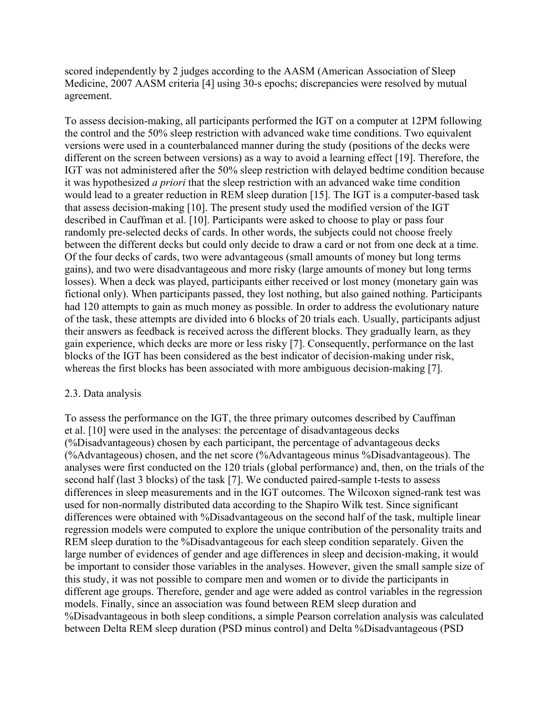scored independently by 2 judges according to the AASM (American Association of Sleep Medicine, 2007 AASM criteria [4] using 30-s epochs; discrepancies were resolved by mutual agreement.

To assess decision-making, all participants performed the IGT on a computer at 12PM following the control and the 50% sleep restriction with advanced wake time conditions. Two equivalent versions were used in a counterbalanced manner during the study (positions of the decks were different on the screen between versions) as a way to avoid a learning effect [19]. Therefore, the IGT was not administered after the 50% sleep restriction with delayed bedtime condition because it was hypothesized *a priori* that the sleep restriction with an advanced wake time condition would lead to a greater reduction in REM sleep duration [15]. The IGT is a computer-based task that assess decision-making [10]. The present study used the modified version of the IGT described in Cauffman et al. [10]. Participants were asked to choose to play or pass four randomly pre-selected decks of cards. In other words, the subjects could not choose freely between the different decks but could only decide to draw a card or not from one deck at a time. Of the four decks of cards, two were advantageous (small amounts of money but long terms gains), and two were disadvantageous and more risky (large amounts of money but long terms losses). When a deck was played, participants either received or lost money (monetary gain was fictional only). When participants passed, they lost nothing, but also gained nothing. Participants had 120 attempts to gain as much money as possible. In order to address the evolutionary nature of the task, these attempts are divided into 6 blocks of 20 trials each. Usually, participants adjust their answers as feedback is received across the different blocks. They gradually learn, as they gain experience, which decks are more or less risky [7]. Consequently, performance on the last blocks of the IGT has been considered as the best indicator of decision-making under risk, whereas the first blocks has been associated with more ambiguous decision-making [7].

#### 2.3. Data analysis

To assess the performance on the IGT, the three primary outcomes described by Cauffman et al. [10] were used in the analyses: the percentage of disadvantageous decks (%Disadvantageous) chosen by each participant, the percentage of advantageous decks (%Advantageous) chosen, and the net score (%Advantageous minus %Disadvantageous). The analyses were first conducted on the 120 trials (global performance) and, then, on the trials of the second half (last 3 blocks) of the task [7]. We conducted paired-sample t-tests to assess differences in sleep measurements and in the IGT outcomes. The Wilcoxon signed-rank test was used for non-normally distributed data according to the Shapiro Wilk test. Since significant differences were obtained with %Disadvantageous on the second half of the task, multiple linear regression models were computed to explore the unique contribution of the personality traits and REM sleep duration to the %Disadvantageous for each sleep condition separately. Given the large number of evidences of gender and age differences in sleep and decision-making, it would be important to consider those variables in the analyses. However, given the small sample size of this study, it was not possible to compare men and women or to divide the participants in different age groups. Therefore, gender and age were added as control variables in the regression models. Finally, since an association was found between REM sleep duration and %Disadvantageous in both sleep conditions, a simple Pearson correlation analysis was calculated between Delta REM sleep duration (PSD minus control) and Delta %Disadvantageous (PSD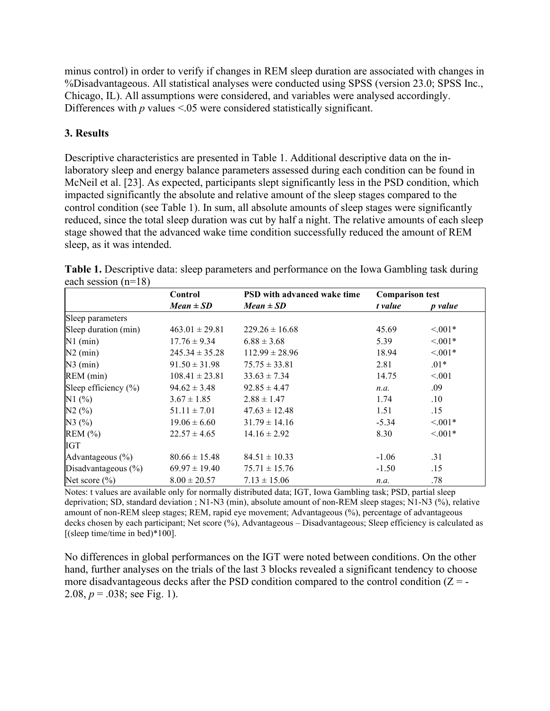minus control) in order to verify if changes in REM sleep duration are associated with changes in %Disadvantageous. All statistical analyses were conducted using SPSS (version 23.0; SPSS Inc., Chicago, IL). All assumptions were considered, and variables were analysed accordingly. Differences with  $p$  values  $\leq 0.05$  were considered statistically significant.

## **3. Results**

Descriptive characteristics are presented in Table 1. Additional descriptive data on the inlaboratory sleep and energy balance parameters assessed during each condition can be found in McNeil et al. [23]. As expected, participants slept significantly less in the PSD condition, which impacted significantly the absolute and relative amount of the sleep stages compared to the control condition (see Table 1). In sum, all absolute amounts of sleep stages were significantly reduced, since the total sleep duration was cut by half a night. The relative amounts of each sleep stage showed that the advanced wake time condition successfully reduced the amount of REM sleep, as it was intended.

|                          | Control            | <b>PSD</b> with advanced wake time | <b>Comparison test</b> |                |  |
|--------------------------|--------------------|------------------------------------|------------------------|----------------|--|
|                          | $Mean \pm SD$      | $Mean \pm SD$                      | t value                | <i>p</i> value |  |
| Sleep parameters         |                    |                                    |                        |                |  |
| Sleep duration (min)     | $463.01 \pm 29.81$ | $229.26 \pm 16.68$                 | 45.69                  | $\leq 0.01*$   |  |
| $N1$ (min)               | $17.76 \pm 9.34$   | $6.88 \pm 3.68$                    | 5.39                   | $\leq 0.01*$   |  |
| $N2$ (min)               | $245.34 \pm 35.28$ | $112.99 \pm 28.96$                 | 18.94                  | $\leq 0.01*$   |  |
| $N3$ (min)               | $91.50 \pm 31.98$  | $75.75 \pm 33.81$                  | 2.81                   | $.01*$         |  |
| REM (min)                | $108.41 \pm 23.81$ | $33.63 \pm 7.34$                   | 14.75                  | < 0.01         |  |
| Sleep efficiency $(\% )$ | $94.62 \pm 3.48$   | $92.85 \pm 4.47$                   | n.a.                   | .09            |  |
| N1(%)                    | $3.67 \pm 1.85$    | $2.88 \pm 1.47$                    | 1.74                   | .10            |  |
| N2(%)                    | $51.11 \pm 7.01$   | $47.63 \pm 12.48$                  | 1.51                   | .15            |  |
| N3(%)                    | $19.06 \pm 6.60$   | $31.79 \pm 14.16$                  | $-5.34$                | $\leq 0.01*$   |  |
| REM (%)                  | $22.57 \pm 4.65$   | $14.16 \pm 2.92$                   | 8.30                   | $\leq 0.01*$   |  |
| IGT                      |                    |                                    |                        |                |  |
| Advantageous $(\% )$     | $80.66 \pm 15.48$  | $84.51 \pm 10.33$                  | $-1.06$                | .31            |  |
| Disadvantageous $(\%)$   | $69.97 \pm 19.40$  | $75.71 \pm 15.76$                  | $-1.50$                | .15            |  |
| Net score $(\% )$        | $8.00 \pm 20.57$   | $7.13 \pm 15.06$                   | n.a.                   | .78            |  |

|                       | Table 1. Descriptive data: sleep parameters and performance on the Iowa Gambling task during |
|-----------------------|----------------------------------------------------------------------------------------------|
| each session $(n=18)$ |                                                                                              |

Notes: t values are available only for normally distributed data; IGT, Iowa Gambling task; PSD, partial sleep deprivation; SD, standard deviation ; N1-N3 (min), absolute amount of non-REM sleep stages; N1-N3 (%), relative amount of non-REM sleep stages; REM, rapid eye movement; Advantageous (%), percentage of advantageous decks chosen by each participant; Net score (%), Advantageous – Disadvantageous; Sleep efficiency is calculated as [(sleep time/time in bed)\*100].

No differences in global performances on the IGT were noted between conditions. On the other hand, further analyses on the trials of the last 3 blocks revealed a significant tendency to choose more disadvantageous decks after the PSD condition compared to the control condition  $(Z = -$ 2.08,  $p = .038$ ; see Fig. 1).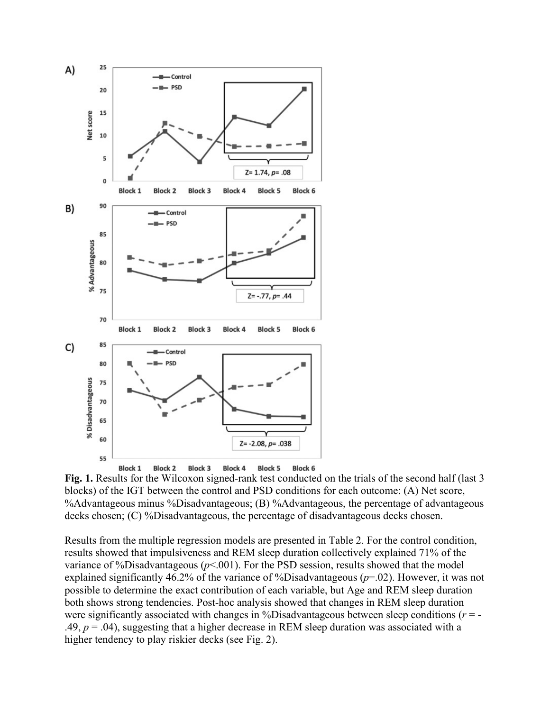

**Fig. 1.** Results for the Wilcoxon signed-rank test conducted on the trials of the second half (last 3 blocks) of the IGT between the control and PSD conditions for each outcome: (A) Net score, %Advantageous minus %Disadvantageous; (B) %Advantageous, the percentage of advantageous decks chosen; (C) %Disadvantageous, the percentage of disadvantageous decks chosen.

Results from the multiple regression models are presented in Table 2. For the control condition, results showed that impulsiveness and REM sleep duration collectively explained 71% of the variance of %Disadvantageous (*p*<.001). For the PSD session, results showed that the model explained significantly 46.2% of the variance of %Disadvantageous (*p*=.02). However, it was not possible to determine the exact contribution of each variable, but Age and REM sleep duration both shows strong tendencies. Post-hoc analysis showed that changes in REM sleep duration were significantly associated with changes in %Disadvantageous between sleep conditions ( $r = -$ .49,  $p = .04$ ), suggesting that a higher decrease in REM sleep duration was associated with a higher tendency to play riskier decks (see Fig. 2).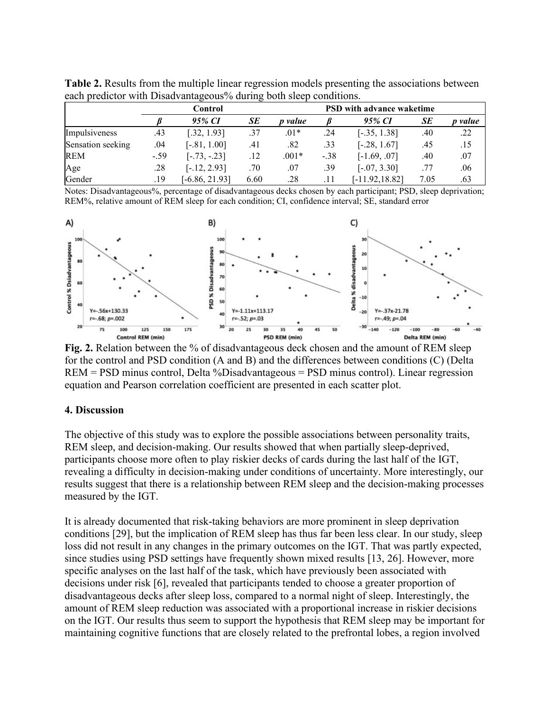|                   |        | <b>Control</b>   |      |                | <b>PSD</b> with advance waketime |                |      |                |
|-------------------|--------|------------------|------|----------------|----------------------------------|----------------|------|----------------|
|                   |        | 95% CI           | SE   | <i>p</i> value |                                  | 95% CI         | SE   | <i>p</i> value |
| Impulsiveness     | .43    | [.32, 1.93]      | .37  | $.01*$         | .24                              | $[-.35, 1.38]$ | .40  | .22            |
| Sensation seeking | .04    | $[-.81, 1.00]$   | .41  | .82            | .33                              | $[-.28, 1.67]$ | .45  | .15            |
| <b>REM</b>        | $-.59$ | $[-.73, -.23]$   | .12  | $.001*$        | $-.38$                           | $[-1.69, .07]$ | .40  | .07            |
| Age               | .28    | $[-.12, 2.93]$   | .70  | .07            | .39                              | $[-.07, 3.30]$ | .77  | .06            |
| Gender            | .19    | $[-6.86, 21.93]$ | 6.60 | .28            |                                  | [-11.92,18.82] | 7.05 | .63            |

**Table 2.** Results from the multiple linear regression models presenting the associations between each predictor with Disadvantageous% during both sleep conditions.

Notes: Disadvantageous%, percentage of disadvantageous decks chosen by each participant; PSD, sleep deprivation; REM%, relative amount of REM sleep for each condition; CI, confidence interval; SE, standard error



**Fig. 2.** Relation between the % of disadvantageous deck chosen and the amount of REM sleep for the control and PSD condition (A and B) and the differences between conditions (C) (Delta REM = PSD minus control, Delta %Disadvantageous = PSD minus control). Linear regression equation and Pearson correlation coefficient are presented in each scatter plot.

#### **4. Discussion**

The objective of this study was to explore the possible associations between personality traits, REM sleep, and decision-making. Our results showed that when partially sleep-deprived, participants choose more often to play riskier decks of cards during the last half of the IGT, revealing a difficulty in decision-making under conditions of uncertainty. More interestingly, our results suggest that there is a relationship between REM sleep and the decision-making processes measured by the IGT.

It is already documented that risk-taking behaviors are more prominent in sleep deprivation conditions [29], but the implication of REM sleep has thus far been less clear. In our study, sleep loss did not result in any changes in the primary outcomes on the IGT. That was partly expected, since studies using PSD settings have frequently shown mixed results [13, 26]. However, more specific analyses on the last half of the task, which have previously been associated with decisions under risk [6], revealed that participants tended to choose a greater proportion of disadvantageous decks after sleep loss, compared to a normal night of sleep. Interestingly, the amount of REM sleep reduction was associated with a proportional increase in riskier decisions on the IGT. Our results thus seem to support the hypothesis that REM sleep may be important for maintaining cognitive functions that are closely related to the prefrontal lobes, a region involved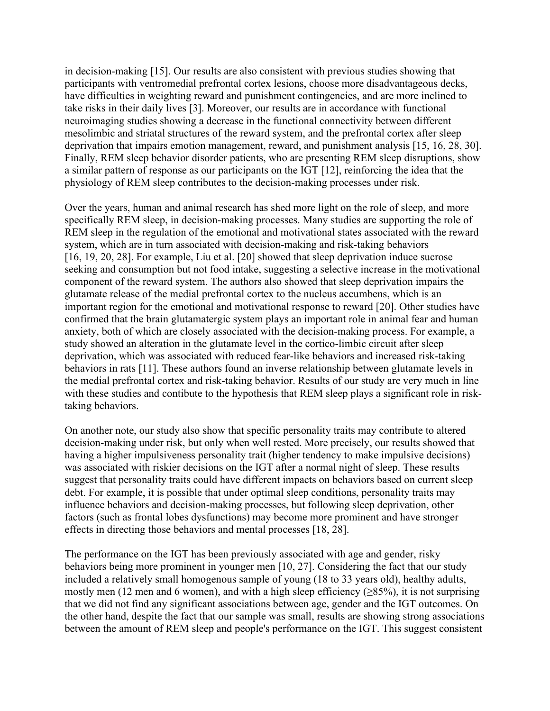in decision-making [15]. Our results are also consistent with previous studies showing that participants with ventromedial prefrontal cortex lesions, choose more disadvantageous decks, have difficulties in weighting reward and punishment contingencies, and are more inclined to take risks in their daily lives [3]. Moreover, our results are in accordance with functional neuroimaging studies showing a decrease in the functional connectivity between different mesolimbic and striatal structures of the reward system, and the prefrontal cortex after sleep deprivation that impairs emotion management, reward, and punishment analysis [15, 16, 28, 30]. Finally, REM sleep behavior disorder patients, who are presenting REM sleep disruptions, show a similar pattern of response as our participants on the IGT [12], reinforcing the idea that the physiology of REM sleep contributes to the decision-making processes under risk.

Over the years, human and animal research has shed more light on the role of sleep, and more specifically REM sleep, in decision-making processes. Many studies are supporting the role of REM sleep in the regulation of the emotional and motivational states associated with the reward system, which are in turn associated with decision-making and risk-taking behaviors [16, 19, 20, 28]. For example, Liu et al. [20] showed that sleep deprivation induce sucrose seeking and consumption but not food intake, suggesting a selective increase in the motivational component of the reward system. The authors also showed that sleep deprivation impairs the glutamate release of the medial prefrontal cortex to the nucleus accumbens, which is an important region for the emotional and motivational response to reward [20]. Other studies have confirmed that the brain glutamatergic system plays an important role in animal fear and human anxiety, both of which are closely associated with the decision-making process. For example, a study showed an alteration in the glutamate level in the cortico-limbic circuit after sleep deprivation, which was associated with reduced fear-like behaviors and increased risk-taking behaviors in rats [11]. These authors found an inverse relationship between glutamate levels in the medial prefrontal cortex and risk-taking behavior. Results of our study are very much in line with these studies and contibute to the hypothesis that REM sleep plays a significant role in risktaking behaviors.

On another note, our study also show that specific personality traits may contribute to altered decision-making under risk, but only when well rested. More precisely, our results showed that having a higher impulsiveness personality trait (higher tendency to make impulsive decisions) was associated with riskier decisions on the IGT after a normal night of sleep. These results suggest that personality traits could have different impacts on behaviors based on current sleep debt. For example, it is possible that under optimal sleep conditions, personality traits may influence behaviors and decision-making processes, but following sleep deprivation, other factors (such as frontal lobes dysfunctions) may become more prominent and have stronger effects in directing those behaviors and mental processes [18, 28].

The performance on the IGT has been previously associated with age and gender, risky behaviors being more prominent in younger men [10, 27]. Considering the fact that our study included a relatively small homogenous sample of young (18 to 33 years old), healthy adults, mostly men (12 men and 6 women), and with a high sleep efficiency ( $\geq$ 85%), it is not surprising that we did not find any significant associations between age, gender and the IGT outcomes. On the other hand, despite the fact that our sample was small, results are showing strong associations between the amount of REM sleep and people's performance on the IGT. This suggest consistent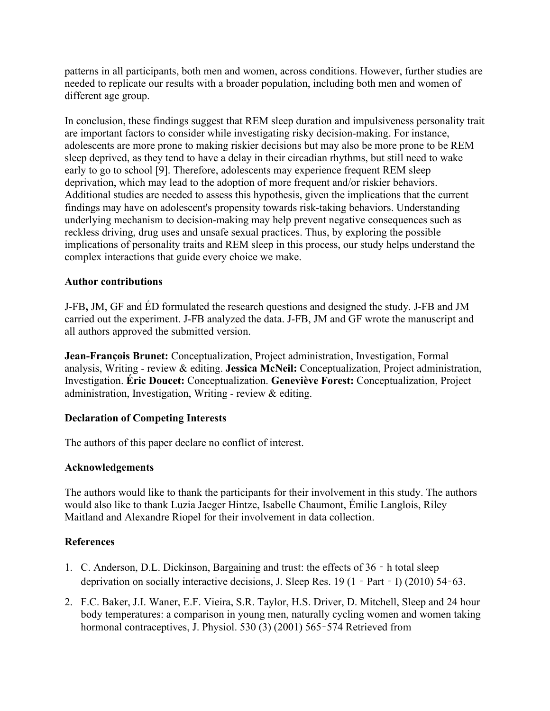patterns in all participants, both men and women, across conditions. However, further studies are needed to replicate our results with a broader population, including both men and women of different age group.

In conclusion, these findings suggest that REM sleep duration and impulsiveness personality trait are important factors to consider while investigating risky decision-making. For instance, adolescents are more prone to making riskier decisions but may also be more prone to be REM sleep deprived, as they tend to have a delay in their circadian rhythms, but still need to wake early to go to school [9]. Therefore, adolescents may experience frequent REM sleep deprivation, which may lead to the adoption of more frequent and/or riskier behaviors. Additional studies are needed to assess this hypothesis, given the implications that the current findings may have on adolescent's propensity towards risk-taking behaviors. Understanding underlying mechanism to decision-making may help prevent negative consequences such as reckless driving, drug uses and unsafe sexual practices. Thus, by exploring the possible implications of personality traits and REM sleep in this process, our study helps understand the complex interactions that guide every choice we make.

## **Author contributions**

J-FB**,** JM, GF and ÉD formulated the research questions and designed the study. J-FB and JM carried out the experiment. J-FB analyzed the data. J-FB, JM and GF wrote the manuscript and all authors approved the submitted version.

**Jean-François Brunet:** Conceptualization, Project administration, Investigation, Formal analysis, Writing - review & editing. **Jessica McNeil:** Conceptualization, Project administration, Investigation. **Éric Doucet:** Conceptualization. **Geneviève Forest:** Conceptualization, Project administration, Investigation, Writing - review & editing.

## **Declaration of Competing Interests**

The authors of this paper declare no conflict of interest.

## **Acknowledgements**

The authors would like to thank the participants for their involvement in this study. The authors would also like to thank Luzia Jaeger Hintze, Isabelle Chaumont, Émilie Langlois, Riley Maitland and Alexandre Riopel for their involvement in data collection.

#### **References**

- 1. C. Anderson, D.L. Dickinson, Bargaining and trust: the effects of 36 h total sleep deprivation on socially interactive decisions, J. Sleep Res. 19 (1 - Part - I) (2010) 54-63.
- 2. F.C. Baker, J.I. Waner, E.F. Vieira, S.R. Taylor, H.S. Driver, D. Mitchell, Sleep and 24 hour body temperatures: a comparison in young men, naturally cycling women and women taking hormonal contraceptives, J. Physiol. 530 (3) (2001) 565-574 Retrieved from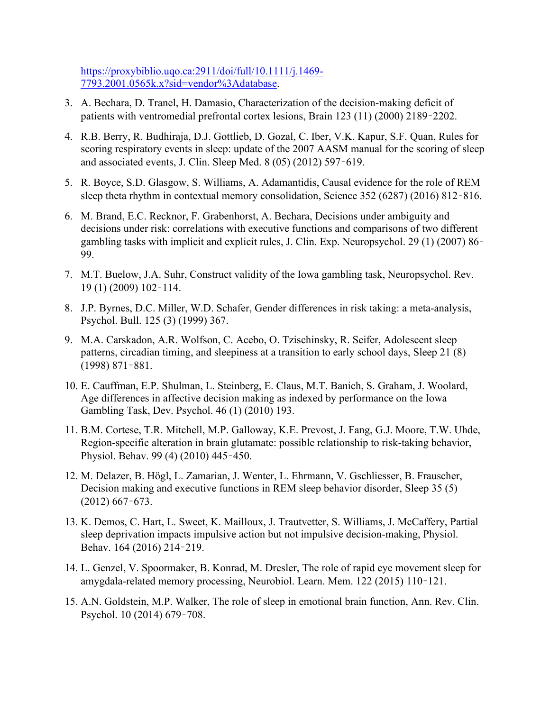[https://proxybiblio.uqo.ca:2911/doi/full/10.1111/j.1469-](https://proxybiblio.uqo.ca:2911/doi/full/10.1111/j.1469-7793.2001.0565k.x?sid=vendor%3Adatabase) [7793.2001.0565k.x?sid=vendor%3Adatabase.](https://proxybiblio.uqo.ca:2911/doi/full/10.1111/j.1469-7793.2001.0565k.x?sid=vendor%3Adatabase)

- 3. A. Bechara, D. Tranel, H. Damasio, Characterization of the decision-making deficit of patients with ventromedial prefrontal cortex lesions, Brain 123 (11) (2000) 2189–2202.
- 4. R.B. Berry, R. Budhiraja, D.J. Gottlieb, D. Gozal, C. Iber, V.K. Kapur, S.F. Quan, Rules for scoring respiratory events in sleep: update of the 2007 AASM manual for the scoring of sleep and associated events, J. Clin. Sleep Med. 8 (05) (2012) 597–619.
- 5. R. Boyce, S.D. Glasgow, S. Williams, A. Adamantidis, Causal evidence for the role of REM sleep theta rhythm in contextual memory consolidation, Science 352 (6287) (2016) 812–816.
- 6. M. Brand, E.C. Recknor, F. Grabenhorst, A. Bechara, Decisions under ambiguity and decisions under risk: correlations with executive functions and comparisons of two different gambling tasks with implicit and explicit rules, J. Clin. Exp. Neuropsychol. 29 (1) (2007) 86– 99.
- 7. M.T. Buelow, J.A. Suhr, Construct validity of the Iowa gambling task, Neuropsychol. Rev. 19 (1) (2009) 102–114.
- 8. J.P. Byrnes, D.C. Miller, W.D. Schafer, Gender differences in risk taking: a meta-analysis, Psychol. Bull. 125 (3) (1999) 367.
- 9. M.A. Carskadon, A.R. Wolfson, C. Acebo, O. Tzischinsky, R. Seifer, Adolescent sleep patterns, circadian timing, and sleepiness at a transition to early school days, Sleep 21 (8) (1998) 871–881.
- 10. E. Cauffman, E.P. Shulman, L. Steinberg, E. Claus, M.T. Banich, S. Graham, J. Woolard, Age differences in affective decision making as indexed by performance on the Iowa Gambling Task, Dev. Psychol. 46 (1) (2010) 193.
- 11. B.M. Cortese, T.R. Mitchell, M.P. Galloway, K.E. Prevost, J. Fang, G.J. Moore, T.W. Uhde, Region-specific alteration in brain glutamate: possible relationship to risk-taking behavior, Physiol. Behav. 99 (4) (2010) 445–450.
- 12. M. Delazer, B. Högl, L. Zamarian, J. Wenter, L. Ehrmann, V. Gschliesser, B. Frauscher, Decision making and executive functions in REM sleep behavior disorder, Sleep 35 (5) (2012) 667–673.
- 13. K. Demos, C. Hart, L. Sweet, K. Mailloux, J. Trautvetter, S. Williams, J. McCaffery, Partial sleep deprivation impacts impulsive action but not impulsive decision-making, Physiol. Behav. 164 (2016) 214–219.
- 14. L. Genzel, V. Spoormaker, B. Konrad, M. Dresler, The role of rapid eye movement sleep for amygdala-related memory processing, Neurobiol. Learn. Mem. 122 (2015) 110–121.
- 15. A.N. Goldstein, M.P. Walker, The role of sleep in emotional brain function, Ann. Rev. Clin. Psychol. 10 (2014) 679–708.